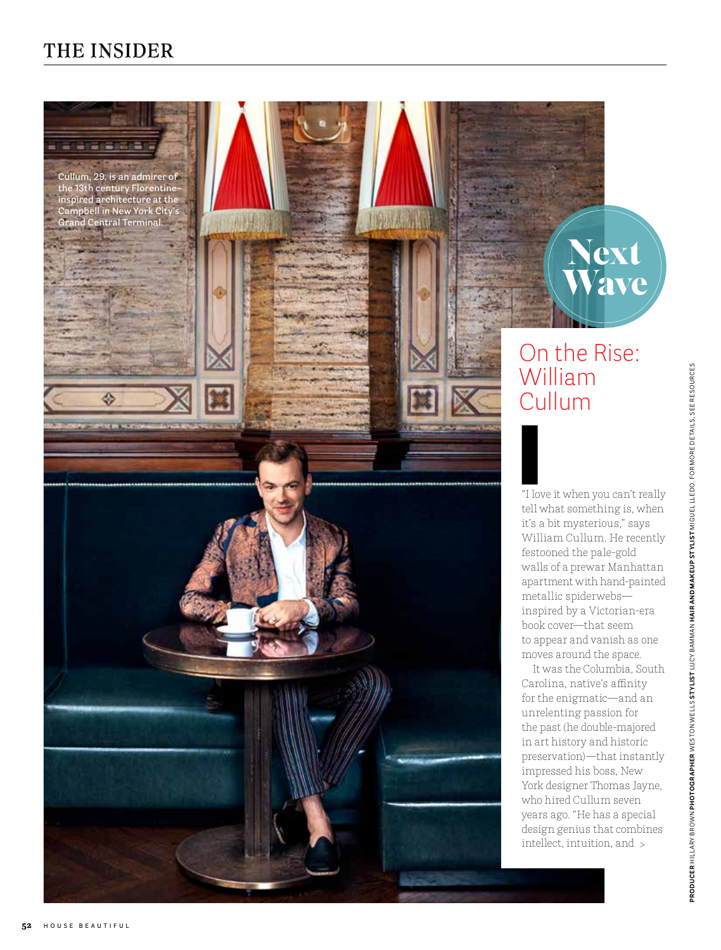# THE INSIDER